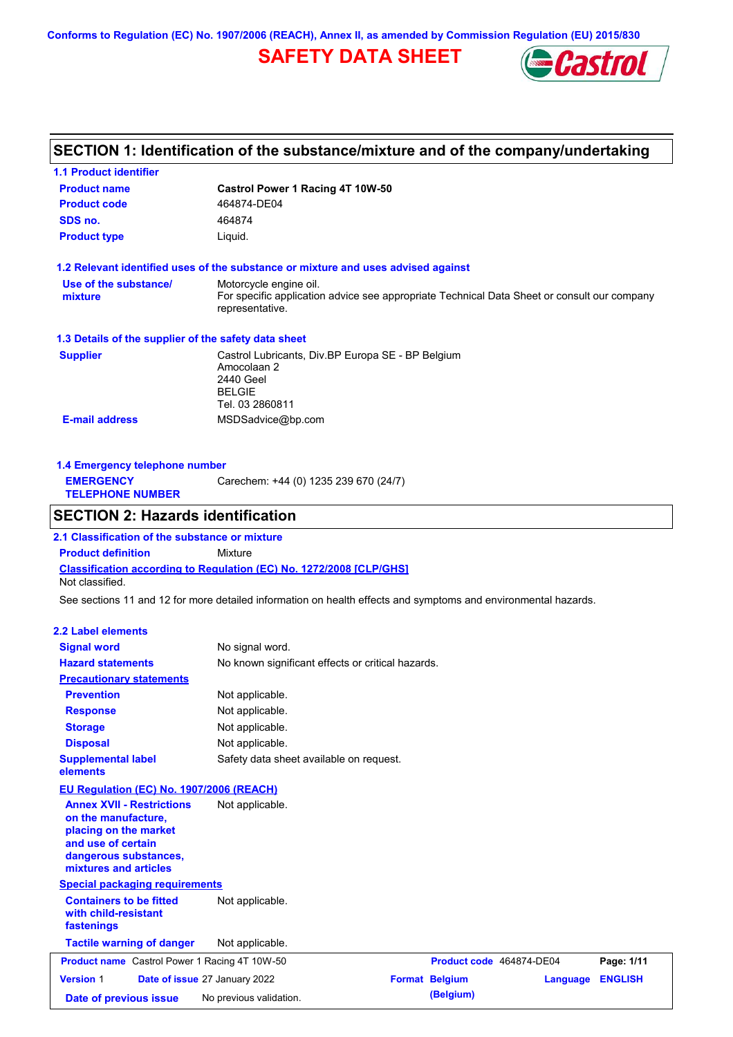**Conforms to Regulation (EC) No. 1907/2006 (REACH), Annex II, as amended by Commission Regulation (EU) 2015/830**

# **SAFETY DATA SHEET**



# **SECTION 1: Identification of the substance/mixture and of the company/undertaking**

| 1.1 Product identifier                                                                                                                                   |                                                                                                                   |                          |                 |                |
|----------------------------------------------------------------------------------------------------------------------------------------------------------|-------------------------------------------------------------------------------------------------------------------|--------------------------|-----------------|----------------|
| <b>Product name</b>                                                                                                                                      | Castrol Power 1 Racing 4T 10W-50                                                                                  |                          |                 |                |
| <b>Product code</b>                                                                                                                                      | 464874-DE04                                                                                                       |                          |                 |                |
| SDS no.                                                                                                                                                  | 464874                                                                                                            |                          |                 |                |
| <b>Product type</b>                                                                                                                                      | Liquid.                                                                                                           |                          |                 |                |
| 1.2 Relevant identified uses of the substance or mixture and uses advised against                                                                        |                                                                                                                   |                          |                 |                |
| Use of the substance/                                                                                                                                    | Motorcycle engine oil.                                                                                            |                          |                 |                |
| mixture                                                                                                                                                  | For specific application advice see appropriate Technical Data Sheet or consult our company<br>representative.    |                          |                 |                |
| 1.3 Details of the supplier of the safety data sheet                                                                                                     |                                                                                                                   |                          |                 |                |
| <b>Supplier</b>                                                                                                                                          | Castrol Lubricants, Div.BP Europa SE - BP Belgium<br>Amocolaan 2<br>2440 Geel<br><b>BELGIE</b><br>Tel. 03 2860811 |                          |                 |                |
| <b>E-mail address</b>                                                                                                                                    | MSDSadvice@bp.com                                                                                                 |                          |                 |                |
| 1.4 Emergency telephone number<br><b>EMERGENCY</b><br><b>TELEPHONE NUMBER</b>                                                                            | Carechem: +44 (0) 1235 239 670 (24/7)                                                                             |                          |                 |                |
| <b>SECTION 2: Hazards identification</b>                                                                                                                 |                                                                                                                   |                          |                 |                |
| 2.1 Classification of the substance or mixture                                                                                                           |                                                                                                                   |                          |                 |                |
| <b>Product definition</b>                                                                                                                                | Mixture                                                                                                           |                          |                 |                |
| <b>Classification according to Regulation (EC) No. 1272/2008 [CLP/GHS]</b><br>Not classified.                                                            |                                                                                                                   |                          |                 |                |
| See sections 11 and 12 for more detailed information on health effects and symptoms and environmental hazards.                                           |                                                                                                                   |                          |                 |                |
|                                                                                                                                                          |                                                                                                                   |                          |                 |                |
| 2.2 Label elements                                                                                                                                       |                                                                                                                   |                          |                 |                |
| <b>Signal word</b>                                                                                                                                       | No signal word.                                                                                                   |                          |                 |                |
| <b>Hazard statements</b>                                                                                                                                 | No known significant effects or critical hazards.                                                                 |                          |                 |                |
| <b>Precautionary statements</b>                                                                                                                          |                                                                                                                   |                          |                 |                |
| <b>Prevention</b>                                                                                                                                        | Not applicable.                                                                                                   |                          |                 |                |
| <b>Response</b>                                                                                                                                          | Not applicable.                                                                                                   |                          |                 |                |
| <b>Storage</b>                                                                                                                                           | Not applicable.                                                                                                   |                          |                 |                |
| <b>Disposal</b>                                                                                                                                          | Not applicable.                                                                                                   |                          |                 |                |
| <b>Supplemental label</b><br>elements                                                                                                                    | Safety data sheet available on request.                                                                           |                          |                 |                |
| EU Regulation (EC) No. 1907/2006 (REACH)                                                                                                                 |                                                                                                                   |                          |                 |                |
| <b>Annex XVII - Restrictions</b><br>on the manufacture,<br>placing on the market<br>and use of certain<br>dangerous substances,<br>mixtures and articles | Not applicable.                                                                                                   |                          |                 |                |
| <b>Special packaging requirements</b>                                                                                                                    |                                                                                                                   |                          |                 |                |
| <b>Containers to be fitted</b><br>with child-resistant<br>fastenings                                                                                     | Not applicable.                                                                                                   |                          |                 |                |
| <b>Tactile warning of danger</b>                                                                                                                         | Not applicable.                                                                                                   |                          |                 |                |
| <b>Product name</b> Castrol Power 1 Racing 4T 10W-50                                                                                                     |                                                                                                                   | Product code 464874-DE04 |                 | Page: 1/11     |
| <b>Version 1</b>                                                                                                                                         | Date of issue 27 January 2022                                                                                     | <b>Format Belgium</b>    | <b>Language</b> | <b>ENGLISH</b> |
| Date of previous issue                                                                                                                                   | No previous validation.                                                                                           | (Belgium)                |                 |                |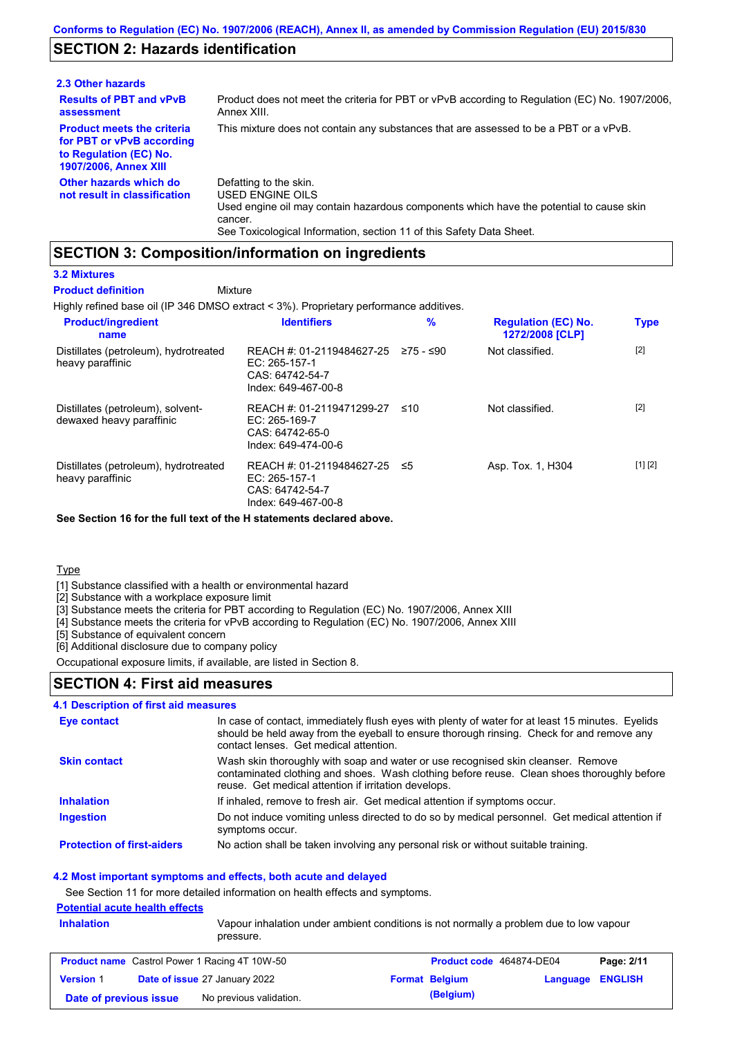### **SECTION 2: Hazards identification**

| 2.3 Other hazards                                                                                                        |                                                                                                                                                                                                                          |
|--------------------------------------------------------------------------------------------------------------------------|--------------------------------------------------------------------------------------------------------------------------------------------------------------------------------------------------------------------------|
| <b>Results of PBT and vPvB</b><br>assessment                                                                             | Product does not meet the criteria for PBT or vPvB according to Regulation (EC) No. 1907/2006,<br>Annex XIII.                                                                                                            |
| <b>Product meets the criteria</b><br>for PBT or vPvB according<br>to Regulation (EC) No.<br><b>1907/2006, Annex XIII</b> | This mixture does not contain any substances that are assessed to be a PBT or a vPvB.                                                                                                                                    |
| Other hazards which do<br>not result in classification                                                                   | Defatting to the skin.<br>USED ENGINE OILS<br>Used engine oil may contain hazardous components which have the potential to cause skin<br>cancer.<br>See Toxicological Information, section 11 of this Safety Data Sheet. |

### **SECTION 3: Composition/information on ingredients**

Mixture

#### **3.2 Mixtures**

**Product definition**

Highly refined base oil (IP 346 DMSO extract < 3%). Proprietary performance additives.

| <b>Product/ingredient</b><br>name                             | <b>Identifiers</b>                                                                                         | $\frac{9}{6}$ | <b>Regulation (EC) No.</b><br>1272/2008 [CLP] | <b>Type</b> |
|---------------------------------------------------------------|------------------------------------------------------------------------------------------------------------|---------------|-----------------------------------------------|-------------|
| Distillates (petroleum), hydrotreated<br>heavy paraffinic     | REACH #: 01-2119484627-25 $\ge$ 75 - $\le$ 90<br>EC: $265-157-1$<br>CAS: 64742-54-7<br>Index: 649-467-00-8 |               | Not classified.                               | $[2]$       |
| Distillates (petroleum), solvent-<br>dewaxed heavy paraffinic | REACH #: 01-2119471299-27<br>EC: 265-169-7<br>CAS: 64742-65-0<br>Index: 649-474-00-6                       | ≤10           | Not classified.                               | $[2]$       |
| Distillates (petroleum), hydrotreated<br>heavy paraffinic     | REACH #: 01-2119484627-25<br>EC: 265-157-1<br>CAS: 64742-54-7<br>Index: 649-467-00-8                       | -≤5           | Asp. Tox. 1, H304                             | [1] [2]     |

**See Section 16 for the full text of the H statements declared above.**

### **Type**

[1] Substance classified with a health or environmental hazard

[2] Substance with a workplace exposure limit

[3] Substance meets the criteria for PBT according to Regulation (EC) No. 1907/2006, Annex XIII

[4] Substance meets the criteria for vPvB according to Regulation (EC) No. 1907/2006, Annex XIII

[5] Substance of equivalent concern

[6] Additional disclosure due to company policy

Occupational exposure limits, if available, are listed in Section 8.

### **SECTION 4: First aid measures**

### **4.1 Description of first aid measures**

| Eye contact                       | In case of contact, immediately flush eyes with plenty of water for at least 15 minutes. Eyelids<br>should be held away from the eyeball to ensure thorough rinsing. Check for and remove any<br>contact lenses. Get medical attention. |
|-----------------------------------|-----------------------------------------------------------------------------------------------------------------------------------------------------------------------------------------------------------------------------------------|
| <b>Skin contact</b>               | Wash skin thoroughly with soap and water or use recognised skin cleanser. Remove<br>contaminated clothing and shoes. Wash clothing before reuse. Clean shoes thoroughly before<br>reuse. Get medical attention if irritation develops.  |
| <b>Inhalation</b>                 | If inhaled, remove to fresh air. Get medical attention if symptoms occur.                                                                                                                                                               |
| <b>Ingestion</b>                  | Do not induce vomiting unless directed to do so by medical personnel. Get medical attention if<br>symptoms occur.                                                                                                                       |
| <b>Protection of first-aiders</b> | No action shall be taken involving any personal risk or without suitable training.                                                                                                                                                      |

### **4.2 Most important symptoms and effects, both acute and delayed**

See Section 11 for more detailed information on health effects and symptoms.

### **Potential acute health effects**

**Inhalation** Vapour inhalation under ambient conditions is not normally a problem due to low vapour pressure.

|                        | <b>Product name</b> Castrol Power 1 Racing 4T 10W-50 | Product code 464874-DE04 |                         | Page: 2/11 |
|------------------------|------------------------------------------------------|--------------------------|-------------------------|------------|
| <b>Version 1</b>       | <b>Date of issue 27 January 2022</b>                 | <b>Format Belgium</b>    | <b>Language ENGLISH</b> |            |
| Date of previous issue | No previous validation.                              | (Belgium)                |                         |            |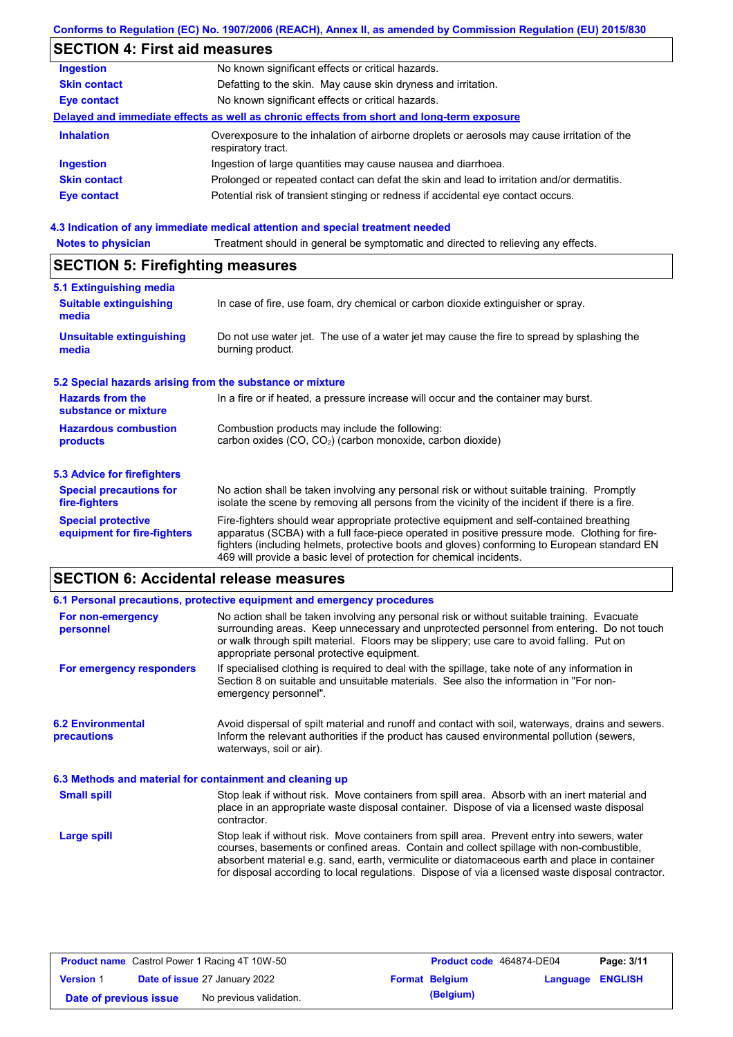### **Conforms to Regulation (EC) No. 1907/2006 (REACH), Annex II, as amended by Commission Regulation (EU) 2015/830**

# **SECTION 4: First aid measures**

| <b>Ingestion</b>    | No known significant effects or critical hazards.                                                                 |
|---------------------|-------------------------------------------------------------------------------------------------------------------|
| <b>Skin contact</b> | Defatting to the skin. May cause skin dryness and irritation.                                                     |
| <b>Eye contact</b>  | No known significant effects or critical hazards.                                                                 |
|                     | Delayed and immediate effects as well as chronic effects from short and long-term exposure                        |
| <b>Inhalation</b>   | Overexposure to the inhalation of airborne droplets or aerosols may cause irritation of the<br>respiratory tract. |
| <b>Ingestion</b>    | Ingestion of large quantities may cause nausea and diarrhoea.                                                     |
| <b>Skin contact</b> | Prolonged or repeated contact can defat the skin and lead to irritation and/or dermatitis.                        |
| <b>Eye contact</b>  | Potential risk of transient stinging or redness if accidental eye contact occurs.                                 |
|                     |                                                                                                                   |

### **4.3 Indication of any immediate medical attention and special treatment needed**

| <b>Notes to physician</b>                                                                                                              | Treatment should in general be symptomatic and directed to relieving any effects.                                                                                                                                                                                                                                                                                 |  |  |  |
|----------------------------------------------------------------------------------------------------------------------------------------|-------------------------------------------------------------------------------------------------------------------------------------------------------------------------------------------------------------------------------------------------------------------------------------------------------------------------------------------------------------------|--|--|--|
| <b>SECTION 5: Firefighting measures</b>                                                                                                |                                                                                                                                                                                                                                                                                                                                                                   |  |  |  |
| 5.1 Extinguishing media                                                                                                                |                                                                                                                                                                                                                                                                                                                                                                   |  |  |  |
| <b>Suitable extinguishing</b><br>media                                                                                                 | In case of fire, use foam, dry chemical or carbon dioxide extinguisher or spray.                                                                                                                                                                                                                                                                                  |  |  |  |
| <b>Unsuitable extinguishing</b><br>media                                                                                               | Do not use water jet. The use of a water jet may cause the fire to spread by splashing the<br>burning product.                                                                                                                                                                                                                                                    |  |  |  |
| 5.2 Special hazards arising from the substance or mixture                                                                              |                                                                                                                                                                                                                                                                                                                                                                   |  |  |  |
| <b>Hazards from the</b><br>In a fire or if heated, a pressure increase will occur and the container may burst.<br>substance or mixture |                                                                                                                                                                                                                                                                                                                                                                   |  |  |  |
| <b>Hazardous combustion</b><br>products                                                                                                | Combustion products may include the following:<br>carbon oxides (CO, CO <sub>2</sub> ) (carbon monoxide, carbon dioxide)                                                                                                                                                                                                                                          |  |  |  |
| 5.3 Advice for firefighters                                                                                                            |                                                                                                                                                                                                                                                                                                                                                                   |  |  |  |
| <b>Special precautions for</b><br>fire-fighters                                                                                        | No action shall be taken involving any personal risk or without suitable training. Promptly<br>isolate the scene by removing all persons from the vicinity of the incident if there is a fire.                                                                                                                                                                    |  |  |  |
| <b>Special protective</b><br>equipment for fire-fighters                                                                               | Fire-fighters should wear appropriate protective equipment and self-contained breathing<br>apparatus (SCBA) with a full face-piece operated in positive pressure mode. Clothing for fire-<br>fighters (including helmets, protective boots and gloves) conforming to European standard EN<br>469 will provide a basic level of protection for chemical incidents. |  |  |  |

# **SECTION 6: Accidental release measures**

|                                                          | 6.1 Personal precautions, protective equipment and emergency procedures                                                                                                                                                                                                                                                                                                                        |
|----------------------------------------------------------|------------------------------------------------------------------------------------------------------------------------------------------------------------------------------------------------------------------------------------------------------------------------------------------------------------------------------------------------------------------------------------------------|
| For non-emergency<br>personnel                           | No action shall be taken involving any personal risk or without suitable training. Evacuate<br>surrounding areas. Keep unnecessary and unprotected personnel from entering. Do not touch<br>or walk through spilt material. Floors may be slippery; use care to avoid falling. Put on<br>appropriate personal protective equipment.                                                            |
| For emergency responders                                 | If specialised clothing is required to deal with the spillage, take note of any information in<br>Section 8 on suitable and unsuitable materials. See also the information in "For non-<br>emergency personnel".                                                                                                                                                                               |
| <b>6.2 Environmental</b><br><b>precautions</b>           | Avoid dispersal of spilt material and runoff and contact with soil, waterways, drains and sewers.<br>Inform the relevant authorities if the product has caused environmental pollution (sewers,<br>waterways, soil or air).                                                                                                                                                                    |
| 6.3 Methods and material for containment and cleaning up |                                                                                                                                                                                                                                                                                                                                                                                                |
| <b>Small spill</b>                                       | Stop leak if without risk. Move containers from spill area. Absorb with an inert material and<br>place in an appropriate waste disposal container. Dispose of via a licensed waste disposal<br>contractor.                                                                                                                                                                                     |
| Large spill                                              | Stop leak if without risk. Move containers from spill area. Prevent entry into sewers, water<br>courses, basements or confined areas. Contain and collect spillage with non-combustible,<br>absorbent material e.g. sand, earth, vermiculite or diatomaceous earth and place in container<br>for disposal according to local regulations. Dispose of via a licensed waste disposal contractor. |

|                        | <b>Product name</b> Castrol Power 1 Racing 4T 10W-50 | <b>Product code</b> 464874-DE04 |                         | Page: 3/11 |
|------------------------|------------------------------------------------------|---------------------------------|-------------------------|------------|
| <b>Version 1</b>       | <b>Date of issue 27 January 2022</b>                 | <b>Format Belgium</b>           | <b>Language ENGLISH</b> |            |
| Date of previous issue | No previous validation.                              | (Belgium)                       |                         |            |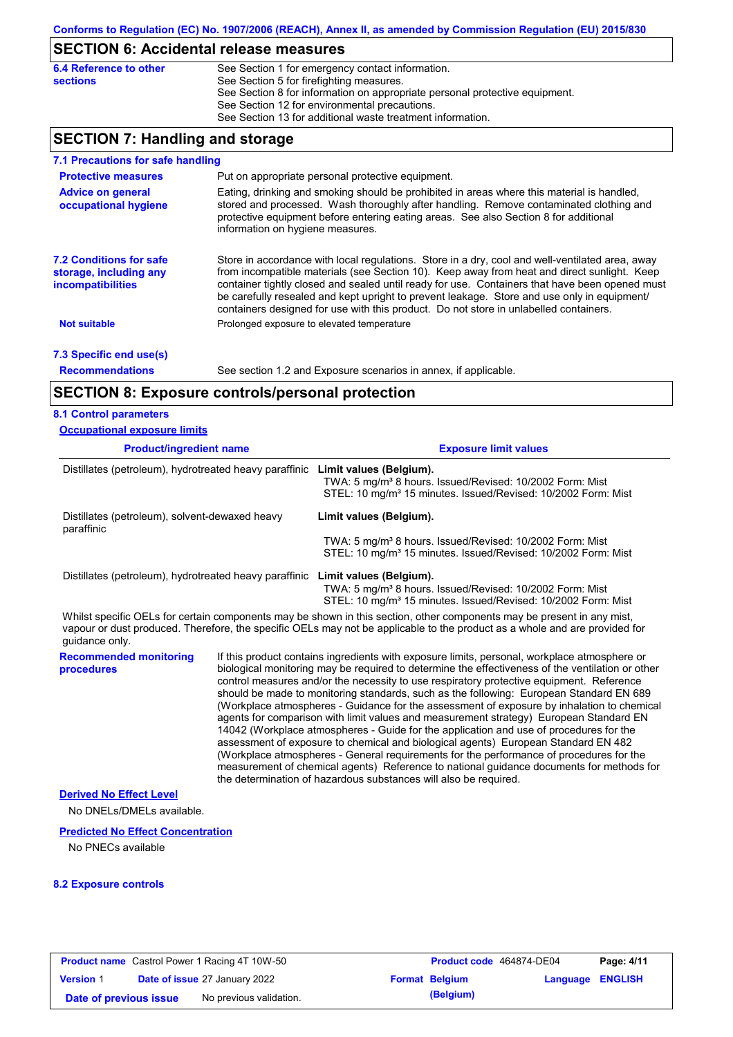# **SECTION 6: Accidental release measures**

| 6.4 Reference to other | See Section 1 for emergency contact information.                            |
|------------------------|-----------------------------------------------------------------------------|
| <b>sections</b>        | See Section 5 for firefighting measures.                                    |
|                        | See Section 8 for information on appropriate personal protective equipment. |
|                        | See Section 12 for environmental precautions.                               |
|                        | See Section 13 for additional waste treatment information.                  |

# **SECTION 7: Handling and storage**

| 7.1 Precautions for safe handling                                             |                                                                                                                                                                                                                                                                                                                                                                                                                                                                                          |
|-------------------------------------------------------------------------------|------------------------------------------------------------------------------------------------------------------------------------------------------------------------------------------------------------------------------------------------------------------------------------------------------------------------------------------------------------------------------------------------------------------------------------------------------------------------------------------|
| <b>Protective measures</b>                                                    | Put on appropriate personal protective equipment.                                                                                                                                                                                                                                                                                                                                                                                                                                        |
| <b>Advice on general</b><br>occupational hygiene                              | Eating, drinking and smoking should be prohibited in areas where this material is handled.<br>stored and processed. Wash thoroughly after handling. Remove contaminated clothing and<br>protective equipment before entering eating areas. See also Section 8 for additional<br>information on hygiene measures.                                                                                                                                                                         |
| <b>7.2 Conditions for safe</b><br>storage, including any<br>incompatibilities | Store in accordance with local regulations. Store in a dry, cool and well-ventilated area, away<br>from incompatible materials (see Section 10). Keep away from heat and direct sunlight. Keep<br>container tightly closed and sealed until ready for use. Containers that have been opened must<br>be carefully resealed and kept upright to prevent leakage. Store and use only in equipment/<br>containers designed for use with this product. Do not store in unlabelled containers. |
| <b>Not suitable</b>                                                           | Prolonged exposure to elevated temperature                                                                                                                                                                                                                                                                                                                                                                                                                                               |
| 7.3 Specific end use(s)                                                       |                                                                                                                                                                                                                                                                                                                                                                                                                                                                                          |
| <b>Recommendations</b>                                                        | See section 1.2 and Exposure scenarios in annex, if applicable.                                                                                                                                                                                                                                                                                                                                                                                                                          |
|                                                                               | <b>SECTION 8: Exposure controls/personal protection</b>                                                                                                                                                                                                                                                                                                                                                                                                                                  |

### **8.1 Control parameters**

| <b>Occupational exposure limits</b>                                                                                    |                                                                                                                                                                                                                                                                                                                                                                                                                                                                                                                                                                                                                                                                                                                                                                                                                                                                                                                                                                                                                            |                                                                                                                                                                                                                                                      |  |
|------------------------------------------------------------------------------------------------------------------------|----------------------------------------------------------------------------------------------------------------------------------------------------------------------------------------------------------------------------------------------------------------------------------------------------------------------------------------------------------------------------------------------------------------------------------------------------------------------------------------------------------------------------------------------------------------------------------------------------------------------------------------------------------------------------------------------------------------------------------------------------------------------------------------------------------------------------------------------------------------------------------------------------------------------------------------------------------------------------------------------------------------------------|------------------------------------------------------------------------------------------------------------------------------------------------------------------------------------------------------------------------------------------------------|--|
| <b>Product/ingredient name</b>                                                                                         |                                                                                                                                                                                                                                                                                                                                                                                                                                                                                                                                                                                                                                                                                                                                                                                                                                                                                                                                                                                                                            | <b>Exposure limit values</b>                                                                                                                                                                                                                         |  |
| Distillates (petroleum), hydrotreated heavy paraffinic<br>Distillates (petroleum), solvent-dewaxed heavy<br>paraffinic |                                                                                                                                                                                                                                                                                                                                                                                                                                                                                                                                                                                                                                                                                                                                                                                                                                                                                                                                                                                                                            | Limit values (Belgium).<br>TWA: 5 mg/m <sup>3</sup> 8 hours. Issued/Revised: 10/2002 Form: Mist<br>STEL: 10 mg/m <sup>3</sup> 15 minutes. Issued/Revised: 10/2002 Form: Mist                                                                         |  |
|                                                                                                                        |                                                                                                                                                                                                                                                                                                                                                                                                                                                                                                                                                                                                                                                                                                                                                                                                                                                                                                                                                                                                                            | Limit values (Belgium).<br>TWA: 5 mg/m <sup>3</sup> 8 hours. Issued/Revised: 10/2002 Form: Mist<br>STEL: 10 mg/m <sup>3</sup> 15 minutes. Issued/Revised: 10/2002 Form: Mist                                                                         |  |
| Distillates (petroleum), hydrotreated heavy paraffinic Limit values (Belgium).                                         |                                                                                                                                                                                                                                                                                                                                                                                                                                                                                                                                                                                                                                                                                                                                                                                                                                                                                                                                                                                                                            | TWA: 5 mg/m <sup>3</sup> 8 hours. Issued/Revised: 10/2002 Form: Mist<br>STEL: 10 mg/m <sup>3</sup> 15 minutes. Issued/Revised: 10/2002 Form: Mist                                                                                                    |  |
| guidance only.                                                                                                         |                                                                                                                                                                                                                                                                                                                                                                                                                                                                                                                                                                                                                                                                                                                                                                                                                                                                                                                                                                                                                            | Whilst specific OELs for certain components may be shown in this section, other components may be present in any mist,<br>vapour or dust produced. Therefore, the specific OELs may not be applicable to the product as a whole and are provided for |  |
| <b>Recommended monitoring</b><br>procedures                                                                            | If this product contains ingredients with exposure limits, personal, workplace atmosphere or<br>biological monitoring may be required to determine the effectiveness of the ventilation or other<br>control measures and/or the necessity to use respiratory protective equipment. Reference<br>should be made to monitoring standards, such as the following: European Standard EN 689<br>(Workplace atmospheres - Guidance for the assessment of exposure by inhalation to chemical<br>agents for comparison with limit values and measurement strategy) European Standard EN<br>14042 (Workplace atmospheres - Guide for the application and use of procedures for the<br>assessment of exposure to chemical and biological agents) European Standard EN 482<br>(Workplace atmospheres - General requirements for the performance of procedures for the<br>measurement of chemical agents) Reference to national guidance documents for methods for<br>the determination of hazardous substances will also be required. |                                                                                                                                                                                                                                                      |  |
| <b>Derived No Effect Level</b>                                                                                         |                                                                                                                                                                                                                                                                                                                                                                                                                                                                                                                                                                                                                                                                                                                                                                                                                                                                                                                                                                                                                            |                                                                                                                                                                                                                                                      |  |
| No DNELs/DMELs available.                                                                                              |                                                                                                                                                                                                                                                                                                                                                                                                                                                                                                                                                                                                                                                                                                                                                                                                                                                                                                                                                                                                                            |                                                                                                                                                                                                                                                      |  |
| <b>Predicted No Effect Concentration</b><br>No PNECs available                                                         |                                                                                                                                                                                                                                                                                                                                                                                                                                                                                                                                                                                                                                                                                                                                                                                                                                                                                                                                                                                                                            |                                                                                                                                                                                                                                                      |  |

### **8.2 Exposure controls**

|                        | <b>Product name</b> Castrol Power 1 Racing 4T 10W-50 | Product code 464874-DE04 |                         | Page: 4/11 |
|------------------------|------------------------------------------------------|--------------------------|-------------------------|------------|
| <b>Version 1</b>       | <b>Date of issue 27 January 2022</b>                 | <b>Format Belgium</b>    | <b>Language ENGLISH</b> |            |
| Date of previous issue | No previous validation.                              | (Belgium)                |                         |            |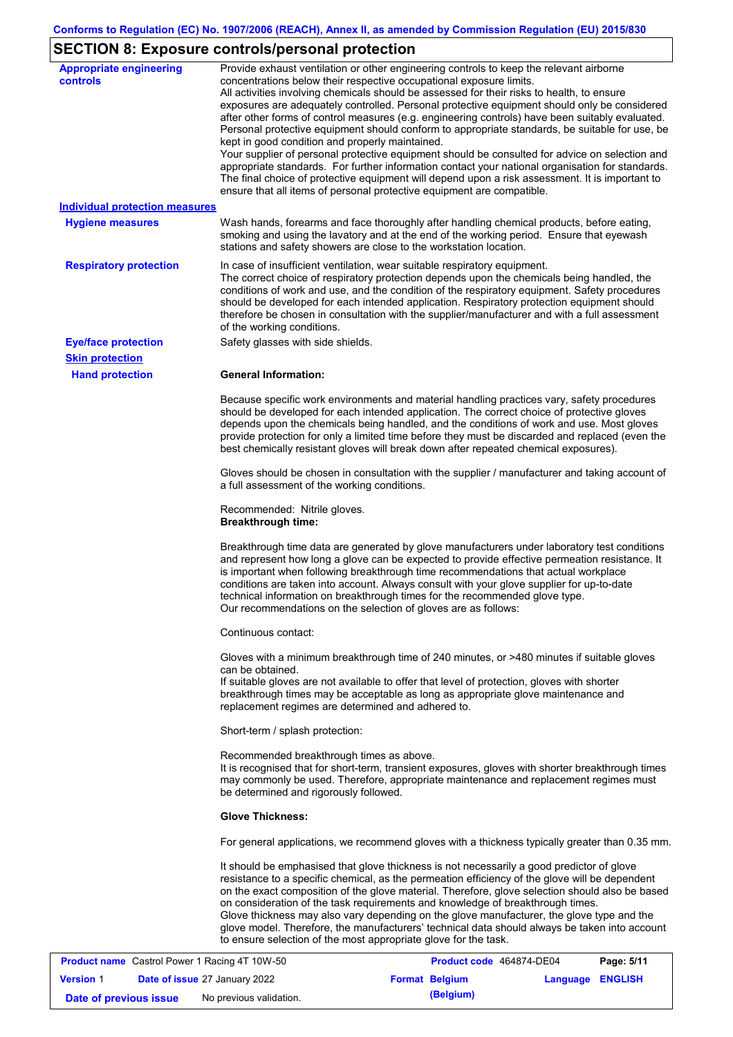# **SECTION 8: Exposure controls/personal protection**

| <b>Appropriate engineering</b><br>controls           | Provide exhaust ventilation or other engineering controls to keep the relevant airborne<br>concentrations below their respective occupational exposure limits.                                                                                                                                                                                                                                                                                                                                                                                                                                                                                                                                                                                                                                                                        |
|------------------------------------------------------|---------------------------------------------------------------------------------------------------------------------------------------------------------------------------------------------------------------------------------------------------------------------------------------------------------------------------------------------------------------------------------------------------------------------------------------------------------------------------------------------------------------------------------------------------------------------------------------------------------------------------------------------------------------------------------------------------------------------------------------------------------------------------------------------------------------------------------------|
|                                                      | All activities involving chemicals should be assessed for their risks to health, to ensure<br>exposures are adequately controlled. Personal protective equipment should only be considered<br>after other forms of control measures (e.g. engineering controls) have been suitably evaluated.<br>Personal protective equipment should conform to appropriate standards, be suitable for use, be<br>kept in good condition and properly maintained.<br>Your supplier of personal protective equipment should be consulted for advice on selection and<br>appropriate standards. For further information contact your national organisation for standards.<br>The final choice of protective equipment will depend upon a risk assessment. It is important to<br>ensure that all items of personal protective equipment are compatible. |
| <b>Individual protection measures</b>                |                                                                                                                                                                                                                                                                                                                                                                                                                                                                                                                                                                                                                                                                                                                                                                                                                                       |
| <b>Hygiene measures</b>                              | Wash hands, forearms and face thoroughly after handling chemical products, before eating,<br>smoking and using the lavatory and at the end of the working period. Ensure that eyewash<br>stations and safety showers are close to the workstation location.                                                                                                                                                                                                                                                                                                                                                                                                                                                                                                                                                                           |
| <b>Respiratory protection</b>                        | In case of insufficient ventilation, wear suitable respiratory equipment.<br>The correct choice of respiratory protection depends upon the chemicals being handled, the<br>conditions of work and use, and the condition of the respiratory equipment. Safety procedures<br>should be developed for each intended application. Respiratory protection equipment should<br>therefore be chosen in consultation with the supplier/manufacturer and with a full assessment<br>of the working conditions.                                                                                                                                                                                                                                                                                                                                 |
| <b>Eye/face protection</b>                           | Safety glasses with side shields.                                                                                                                                                                                                                                                                                                                                                                                                                                                                                                                                                                                                                                                                                                                                                                                                     |
| <b>Skin protection</b>                               |                                                                                                                                                                                                                                                                                                                                                                                                                                                                                                                                                                                                                                                                                                                                                                                                                                       |
| <b>Hand protection</b>                               | <b>General Information:</b>                                                                                                                                                                                                                                                                                                                                                                                                                                                                                                                                                                                                                                                                                                                                                                                                           |
|                                                      | Because specific work environments and material handling practices vary, safety procedures<br>should be developed for each intended application. The correct choice of protective gloves<br>depends upon the chemicals being handled, and the conditions of work and use. Most gloves<br>provide protection for only a limited time before they must be discarded and replaced (even the<br>best chemically resistant gloves will break down after repeated chemical exposures).                                                                                                                                                                                                                                                                                                                                                      |
|                                                      | Gloves should be chosen in consultation with the supplier / manufacturer and taking account of<br>a full assessment of the working conditions.                                                                                                                                                                                                                                                                                                                                                                                                                                                                                                                                                                                                                                                                                        |
|                                                      | Recommended: Nitrile gloves.<br><b>Breakthrough time:</b>                                                                                                                                                                                                                                                                                                                                                                                                                                                                                                                                                                                                                                                                                                                                                                             |
|                                                      | Breakthrough time data are generated by glove manufacturers under laboratory test conditions<br>and represent how long a glove can be expected to provide effective permeation resistance. It<br>is important when following breakthrough time recommendations that actual workplace<br>conditions are taken into account. Always consult with your glove supplier for up-to-date<br>technical information on breakthrough times for the recommended glove type.<br>Our recommendations on the selection of gloves are as follows:                                                                                                                                                                                                                                                                                                    |
|                                                      | Continuous contact:                                                                                                                                                                                                                                                                                                                                                                                                                                                                                                                                                                                                                                                                                                                                                                                                                   |
|                                                      | Gloves with a minimum breakthrough time of 240 minutes, or >480 minutes if suitable gloves<br>can be obtained.<br>If suitable gloves are not available to offer that level of protection, gloves with shorter<br>breakthrough times may be acceptable as long as appropriate glove maintenance and<br>replacement regimes are determined and adhered to.                                                                                                                                                                                                                                                                                                                                                                                                                                                                              |
|                                                      | Short-term / splash protection:                                                                                                                                                                                                                                                                                                                                                                                                                                                                                                                                                                                                                                                                                                                                                                                                       |
|                                                      | Recommended breakthrough times as above.<br>It is recognised that for short-term, transient exposures, gloves with shorter breakthrough times<br>may commonly be used. Therefore, appropriate maintenance and replacement regimes must<br>be determined and rigorously followed.                                                                                                                                                                                                                                                                                                                                                                                                                                                                                                                                                      |
|                                                      | <b>Glove Thickness:</b>                                                                                                                                                                                                                                                                                                                                                                                                                                                                                                                                                                                                                                                                                                                                                                                                               |
|                                                      | For general applications, we recommend gloves with a thickness typically greater than 0.35 mm.                                                                                                                                                                                                                                                                                                                                                                                                                                                                                                                                                                                                                                                                                                                                        |
|                                                      | It should be emphasised that glove thickness is not necessarily a good predictor of glove<br>resistance to a specific chemical, as the permeation efficiency of the glove will be dependent<br>on the exact composition of the glove material. Therefore, glove selection should also be based<br>on consideration of the task requirements and knowledge of breakthrough times.<br>Glove thickness may also vary depending on the glove manufacturer, the glove type and the<br>glove model. Therefore, the manufacturers' technical data should always be taken into account<br>to ensure selection of the most appropriate glove for the task.                                                                                                                                                                                     |
| <b>Product name</b> Castrol Power 1 Racing 4T 10W-50 | <b>Product code 464874-DE04</b><br>$P$ ane: 5/11                                                                                                                                                                                                                                                                                                                                                                                                                                                                                                                                                                                                                                                                                                                                                                                      |

|                        | <b>Product name</b> Castrol Power 1 Racing 4T 10W-50 | Product code 464874-DE04 |                  | Page: 5/11 |
|------------------------|------------------------------------------------------|--------------------------|------------------|------------|
| <b>Version 1</b>       | <b>Date of issue 27 January 2022</b>                 | <b>Format Belgium</b>    | Language ENGLISH |            |
| Date of previous issue | No previous validation.                              | (Belgium)                |                  |            |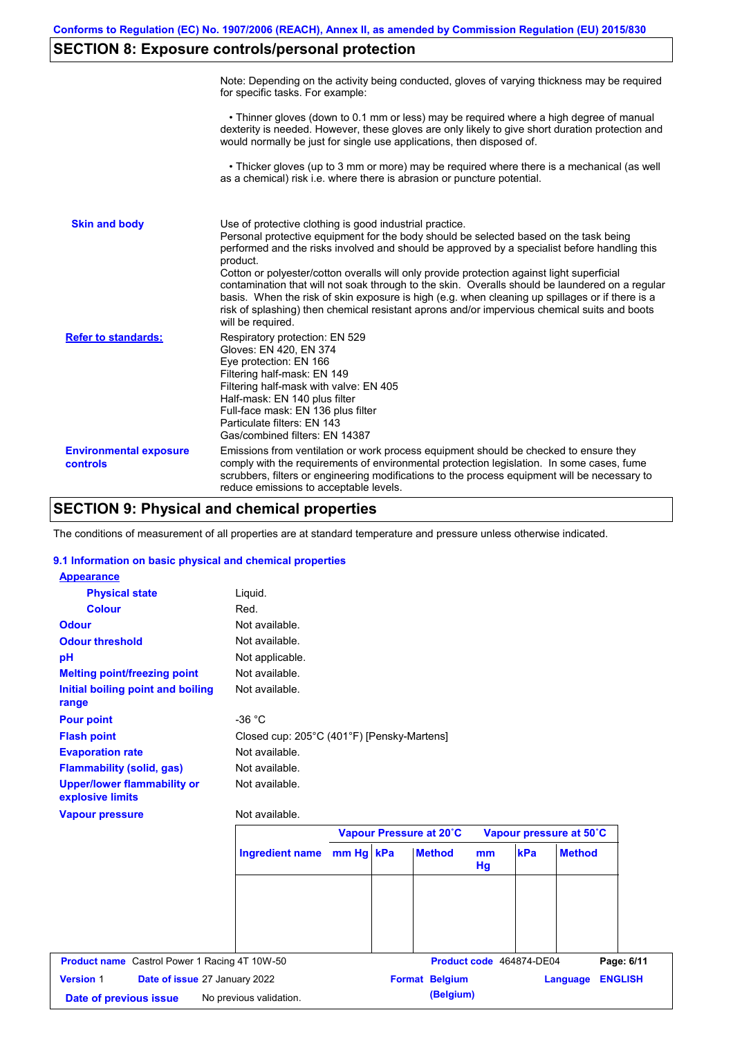# **SECTION 8: Exposure controls/personal protection**

|                                           | Note: Depending on the activity being conducted, gloves of varying thickness may be required<br>for specific tasks. For example:                                                                                                                                                                                                                                                                                                                                                                                                                                                                                                                                                      |
|-------------------------------------------|---------------------------------------------------------------------------------------------------------------------------------------------------------------------------------------------------------------------------------------------------------------------------------------------------------------------------------------------------------------------------------------------------------------------------------------------------------------------------------------------------------------------------------------------------------------------------------------------------------------------------------------------------------------------------------------|
|                                           | • Thinner gloves (down to 0.1 mm or less) may be required where a high degree of manual<br>dexterity is needed. However, these gloves are only likely to give short duration protection and<br>would normally be just for single use applications, then disposed of.                                                                                                                                                                                                                                                                                                                                                                                                                  |
|                                           | • Thicker gloves (up to 3 mm or more) may be required where there is a mechanical (as well<br>as a chemical) risk i.e. where there is abrasion or puncture potential.                                                                                                                                                                                                                                                                                                                                                                                                                                                                                                                 |
| <b>Skin and body</b>                      | Use of protective clothing is good industrial practice.<br>Personal protective equipment for the body should be selected based on the task being<br>performed and the risks involved and should be approved by a specialist before handling this<br>product.<br>Cotton or polyester/cotton overalls will only provide protection against light superficial<br>contamination that will not soak through to the skin. Overalls should be laundered on a regular<br>basis. When the risk of skin exposure is high (e.g. when cleaning up spillages or if there is a<br>risk of splashing) then chemical resistant aprons and/or impervious chemical suits and boots<br>will be required. |
| <b>Refer to standards:</b>                | Respiratory protection: EN 529<br>Gloves: EN 420, EN 374<br>Eye protection: EN 166<br>Filtering half-mask: EN 149<br>Filtering half-mask with valve: EN 405<br>Half-mask: EN 140 plus filter<br>Full-face mask: EN 136 plus filter<br>Particulate filters: EN 143<br>Gas/combined filters: EN 14387                                                                                                                                                                                                                                                                                                                                                                                   |
| <b>Environmental exposure</b><br>controls | Emissions from ventilation or work process equipment should be checked to ensure they<br>comply with the requirements of environmental protection legislation. In some cases, fume<br>scrubbers, filters or engineering modifications to the process equipment will be necessary to<br>reduce emissions to acceptable levels.                                                                                                                                                                                                                                                                                                                                                         |

### **SECTION 9: Physical and chemical properties**

The conditions of measurement of all properties are at standard temperature and pressure unless otherwise indicated.

### **9.1 Information on basic physical and chemical properties**

| <b>Appearance</b>                                      |                                            |           |                         |          |                          |                         |                |
|--------------------------------------------------------|--------------------------------------------|-----------|-------------------------|----------|--------------------------|-------------------------|----------------|
| <b>Physical state</b>                                  | Liquid.                                    |           |                         |          |                          |                         |                |
| <b>Colour</b>                                          | Red.                                       |           |                         |          |                          |                         |                |
| <b>Odour</b>                                           | Not available.                             |           |                         |          |                          |                         |                |
| <b>Odour threshold</b>                                 | Not available.                             |           |                         |          |                          |                         |                |
| pH                                                     | Not applicable.                            |           |                         |          |                          |                         |                |
| <b>Melting point/freezing point</b>                    | Not available.                             |           |                         |          |                          |                         |                |
| Initial boiling point and boiling<br>range             | Not available.                             |           |                         |          |                          |                         |                |
| <b>Pour point</b>                                      | $-36 °C$                                   |           |                         |          |                          |                         |                |
| <b>Flash point</b>                                     | Closed cup: 205°C (401°F) [Pensky-Martens] |           |                         |          |                          |                         |                |
| <b>Evaporation rate</b>                                | Not available.                             |           |                         |          |                          |                         |                |
| <b>Flammability (solid, gas)</b>                       | Not available.                             |           |                         |          |                          |                         |                |
| <b>Upper/lower flammability or</b><br>explosive limits | Not available.                             |           |                         |          |                          |                         |                |
| <b>Vapour pressure</b>                                 | Not available.                             |           |                         |          |                          |                         |                |
|                                                        |                                            |           | Vapour Pressure at 20°C |          |                          | Vapour pressure at 50°C |                |
|                                                        | <b>Ingredient name</b>                     | mm Hg kPa | <b>Method</b>           | mm<br>Hg | kPa                      | <b>Method</b>           |                |
|                                                        |                                            |           |                         |          |                          |                         |                |
|                                                        |                                            |           |                         |          |                          |                         |                |
|                                                        |                                            |           |                         |          |                          |                         |                |
| Product name Castrol Power 1 Racing 4T 10W-50          |                                            |           |                         |          | Product code 464874-DE04 |                         | Page: 6/11     |
| <b>Version 1</b><br>Date of issue 27 January 2022      |                                            |           | <b>Format Belgium</b>   |          |                          | Language                | <b>ENGLISH</b> |
|                                                        |                                            |           |                         |          |                          |                         |                |
| Date of previous issue                                 | No previous validation.                    |           | (Belgium)               |          |                          |                         |                |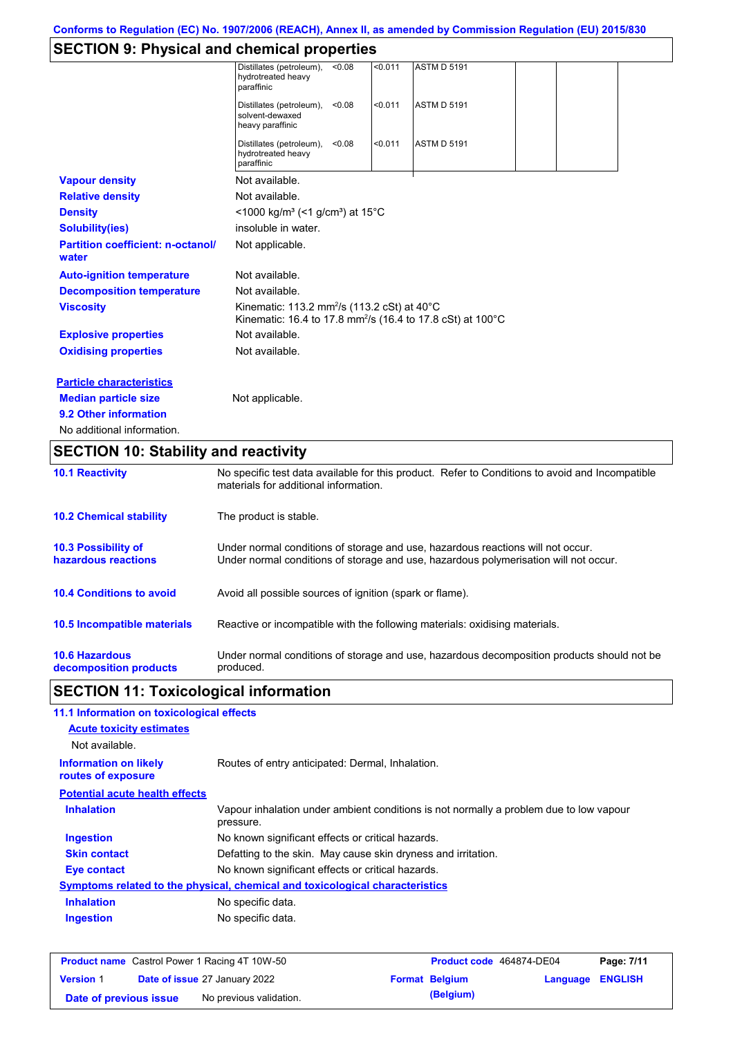# **SECTION 9: Physical and chemical properties**

|                                                   | <b>ASTM D 5191</b><br>Distillates (petroleum),<br>< 0.08<br>< 0.011<br>hydrotreated heavy<br>paraffinic                                  |  |
|---------------------------------------------------|------------------------------------------------------------------------------------------------------------------------------------------|--|
|                                                   | < 0.011<br><b>ASTM D 5191</b><br>Distillates (petroleum),<br>< 0.08<br>solvent-dewaxed<br>heavy paraffinic                               |  |
|                                                   | Distillates (petroleum),<br>< 0.011<br><b>ASTM D 5191</b><br>< 0.08<br>hydrotreated heavy<br>paraffinic                                  |  |
| <b>Vapour density</b>                             | Not available.                                                                                                                           |  |
| <b>Relative density</b>                           | Not available.                                                                                                                           |  |
| <b>Density</b>                                    | <1000 kg/m <sup>3</sup> (<1 g/cm <sup>3</sup> ) at 15 <sup>°</sup> C                                                                     |  |
| <b>Solubility(ies)</b>                            | insoluble in water.                                                                                                                      |  |
| <b>Partition coefficient: n-octanol/</b><br>water | Not applicable.                                                                                                                          |  |
| <b>Auto-ignition temperature</b>                  | Not available.                                                                                                                           |  |
| <b>Decomposition temperature</b>                  | Not available.                                                                                                                           |  |
| <b>Viscosity</b>                                  | Kinematic: 113.2 mm <sup>2</sup> /s (113.2 cSt) at 40°C<br>Kinematic: 16.4 to 17.8 mm <sup>2</sup> /s (16.4 to 17.8 cSt) at 100°C        |  |
| <b>Explosive properties</b>                       | Not available.                                                                                                                           |  |
| <b>Oxidising properties</b>                       | Not available.                                                                                                                           |  |
| <b>Particle characteristics</b>                   |                                                                                                                                          |  |
| <b>Median particle size</b>                       | Not applicable.                                                                                                                          |  |
| 9.2 Other information                             |                                                                                                                                          |  |
| No additional information.                        |                                                                                                                                          |  |
| <b>SECTION 10: Stability and reactivity</b>       |                                                                                                                                          |  |
| <b>10.1 Reactivity</b>                            | No specific test data available for this product. Refer to Conditions to avoid and Incompatible<br>materials for additional information. |  |
| <b>10.2 Chemical stability</b>                    | The product is stable.                                                                                                                   |  |

| <b>10.3 Possibility of</b>      | Under normal conditions of storage and use, hazardous reactions will not occur.            |
|---------------------------------|--------------------------------------------------------------------------------------------|
| hazardous reactions             | Under normal conditions of storage and use, hazardous polymerisation will not occur.       |
| <b>10.4 Conditions to avoid</b> | Avoid all possible sources of ignition (spark or flame).                                   |
| 10.5 Incompatible materials     | Reactive or incompatible with the following materials: oxidising materials.                |
| <b>10.6 Hazardous</b>           | Under normal conditions of storage and use, hazardous decomposition products should not be |
| decomposition products          | produced.                                                                                  |

# **SECTION 11: Toxicological information**

| 11.1 Information on toxicological effects          |                                                                                                     |
|----------------------------------------------------|-----------------------------------------------------------------------------------------------------|
| <b>Acute toxicity estimates</b>                    |                                                                                                     |
| Not available.                                     |                                                                                                     |
| <b>Information on likely</b><br>routes of exposure | Routes of entry anticipated: Dermal, Inhalation.                                                    |
| <b>Potential acute health effects</b>              |                                                                                                     |
| <b>Inhalation</b>                                  | Vapour inhalation under ambient conditions is not normally a problem due to low vapour<br>pressure. |
| <b>Ingestion</b>                                   | No known significant effects or critical hazards.                                                   |
| <b>Skin contact</b>                                | Defatting to the skin. May cause skin dryness and irritation.                                       |
| Eye contact                                        | No known significant effects or critical hazards.                                                   |
|                                                    | Symptoms related to the physical, chemical and toxicological characteristics                        |
| <b>Inhalation</b>                                  | No specific data.                                                                                   |
| <b>Ingestion</b>                                   | No specific data.                                                                                   |
|                                                    |                                                                                                     |

|                        | <b>Product name</b> Castrol Power 1 Racing 4T 10W-50 | <b>Product code</b> 464874-DE04 |                         | Page: 7/11 |
|------------------------|------------------------------------------------------|---------------------------------|-------------------------|------------|
| <b>Version 1</b>       | <b>Date of issue 27 January 2022</b>                 | <b>Format Belgium</b>           | <b>Language ENGLISH</b> |            |
| Date of previous issue | No previous validation.                              | (Belgium)                       |                         |            |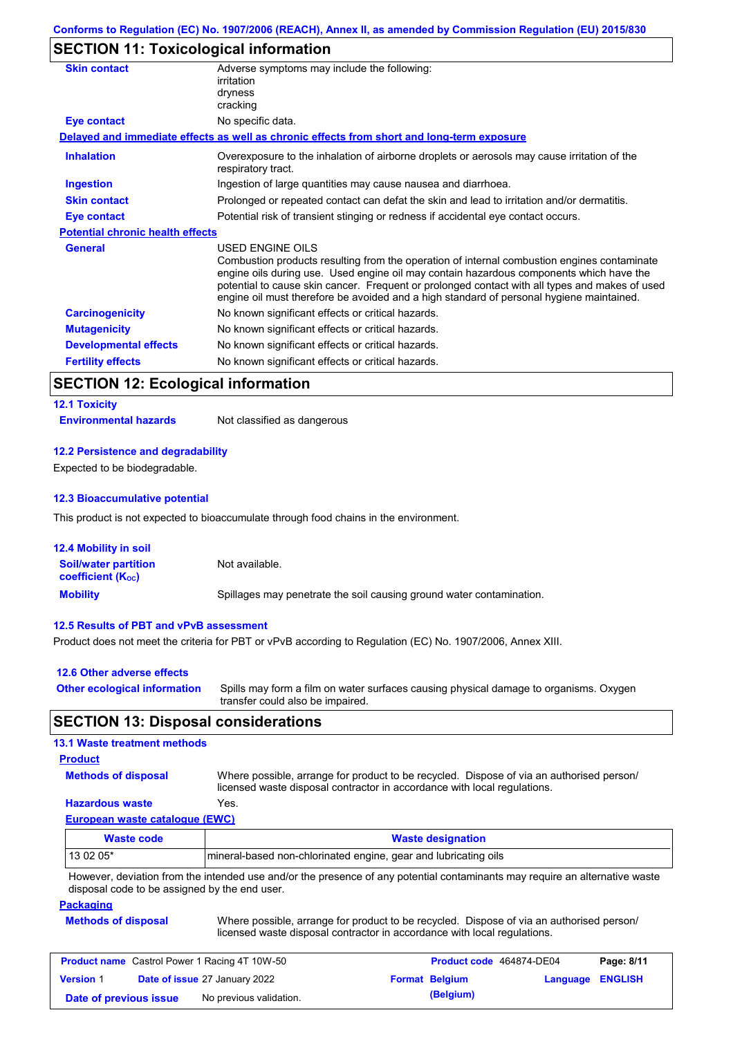## **SECTION 11: Toxicological information**

| <b>Skin contact</b>                     | Adverse symptoms may include the following:<br>irritation<br>dryness<br>cracking                                                                                                                                                                                                                                                                                                                         |
|-----------------------------------------|----------------------------------------------------------------------------------------------------------------------------------------------------------------------------------------------------------------------------------------------------------------------------------------------------------------------------------------------------------------------------------------------------------|
| <b>Eye contact</b>                      | No specific data.                                                                                                                                                                                                                                                                                                                                                                                        |
|                                         | Delayed and immediate effects as well as chronic effects from short and long-term exposure                                                                                                                                                                                                                                                                                                               |
| <b>Inhalation</b>                       | Overexposure to the inhalation of airborne droplets or aerosols may cause irritation of the<br>respiratory tract.                                                                                                                                                                                                                                                                                        |
| <b>Ingestion</b>                        | Ingestion of large quantities may cause nausea and diarrhoea.                                                                                                                                                                                                                                                                                                                                            |
| <b>Skin contact</b>                     | Prolonged or repeated contact can defat the skin and lead to irritation and/or dermatitis.                                                                                                                                                                                                                                                                                                               |
| Eye contact                             | Potential risk of transient stinging or redness if accidental eye contact occurs.                                                                                                                                                                                                                                                                                                                        |
| <b>Potential chronic health effects</b> |                                                                                                                                                                                                                                                                                                                                                                                                          |
| <b>General</b>                          | USED ENGINE OILS<br>Combustion products resulting from the operation of internal combustion engines contaminate<br>engine oils during use. Used engine oil may contain hazardous components which have the<br>potential to cause skin cancer. Frequent or prolonged contact with all types and makes of used<br>engine oil must therefore be avoided and a high standard of personal hygiene maintained. |
| <b>Carcinogenicity</b>                  | No known significant effects or critical hazards.                                                                                                                                                                                                                                                                                                                                                        |
| <b>Mutagenicity</b>                     | No known significant effects or critical hazards.                                                                                                                                                                                                                                                                                                                                                        |
| <b>Developmental effects</b>            | No known significant effects or critical hazards.                                                                                                                                                                                                                                                                                                                                                        |
| <b>Fertility effects</b>                | No known significant effects or critical hazards.                                                                                                                                                                                                                                                                                                                                                        |

## **SECTION 12: Ecological information**

# **12.1 Toxicity**

**Environmental hazards** Not classified as dangerous

### **12.2 Persistence and degradability**

Expected to be biodegradable.

### **12.3 Bioaccumulative potential**

This product is not expected to bioaccumulate through food chains in the environment.

| <b>12.4 Mobility in soil</b>                            |                                                                      |
|---------------------------------------------------------|----------------------------------------------------------------------|
| <b>Soil/water partition</b><br><b>coefficient (Koc)</b> | Not available.                                                       |
| <b>Mobility</b>                                         | Spillages may penetrate the soil causing ground water contamination. |

### **12.5 Results of PBT and vPvB assessment**

Product does not meet the criteria for PBT or vPvB according to Regulation (EC) No. 1907/2006, Annex XIII.

| 12.6 Other adverse effects          |                                                                                                                           |
|-------------------------------------|---------------------------------------------------------------------------------------------------------------------------|
| <b>Other ecological information</b> | Spills may form a film on water surfaces causing physical damage to organisms. Oxygen<br>transfer could also be impaired. |

### **SECTION 13: Disposal considerations**

### **13.1 Waste treatment methods**

### **Product**

**Methods of disposal**

Where possible, arrange for product to be recycled. Dispose of via an authorised person/ licensed waste disposal contractor in accordance with local regulations.

### **Hazardous waste** Yes.

**European waste catalogue (EWC)**

| Waste code                                                                                                                  | <b>Waste designation</b>                                         |  |  |  |  |
|-----------------------------------------------------------------------------------------------------------------------------|------------------------------------------------------------------|--|--|--|--|
| $130205*$                                                                                                                   | Imineral-based non-chlorinated engine, gear and lubricating oils |  |  |  |  |
| However, deviation from the intended use and/or the presence of any potential contaminants may require an alternative waste |                                                                  |  |  |  |  |

disposal code to be assigned by the end user.

#### **Packaging**

**Methods of disposal** Where possible, arrange for product to be recycled. Dispose of via an authorised person/ licensed waste disposal contractor in accordance with local regulations.

| <b>Product name</b> Castrol Power 1 Racing 4T 10W-50 |  |                               | Product code 464874-DE04 |                       | Page: 8/11              |  |
|------------------------------------------------------|--|-------------------------------|--------------------------|-----------------------|-------------------------|--|
| <b>Version 1</b>                                     |  | Date of issue 27 January 2022 |                          | <b>Format Belgium</b> | <b>Language ENGLISH</b> |  |
| Date of previous issue                               |  | No previous validation.       |                          | (Belgium)             |                         |  |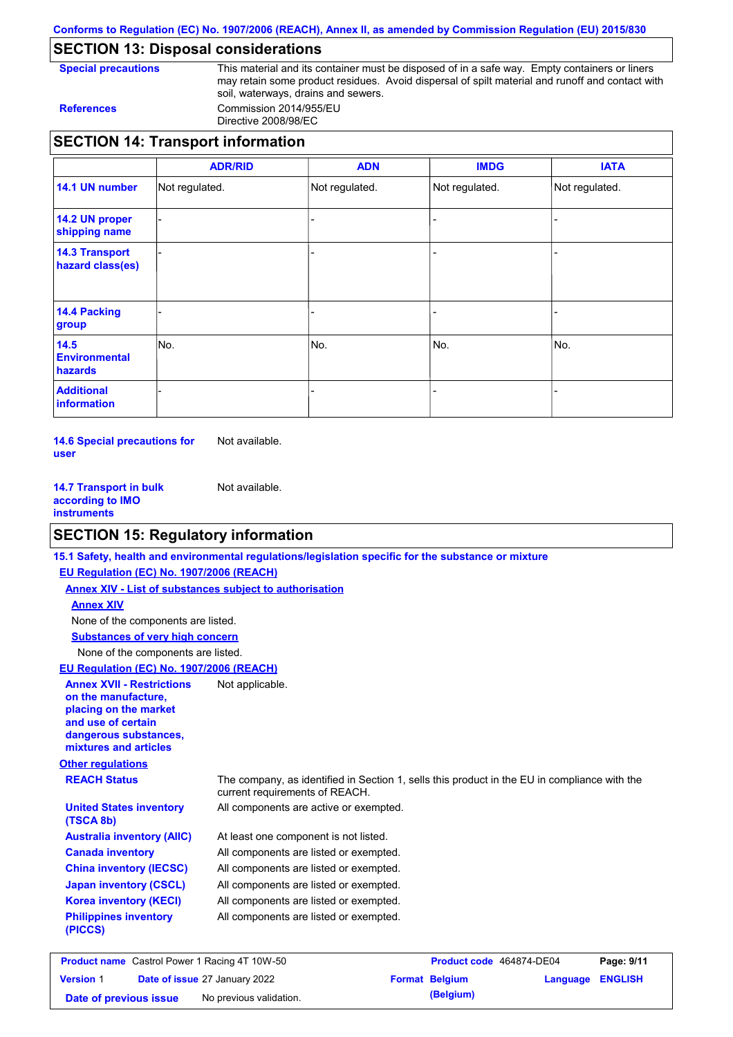**Conforms to Regulation (EC) No. 1907/2006 (REACH), Annex II, as amended by Commission Regulation (EU) 2015/830**

# **SECTION 13: Disposal considerations**

**Special precautions** This material and its container must be disposed of in a safe way. Empty containers or liners may retain some product residues. Avoid dispersal of spilt material and runoff and contact with soil, waterways, drains and sewers. **References** Commission 2014/955/EU

Directive 2008/98/EC

|                                           | <b>ADR/RID</b> | <b>ADN</b>     | <b>IMDG</b>    | <b>IATA</b>    |
|-------------------------------------------|----------------|----------------|----------------|----------------|
| 14.1 UN number                            | Not regulated. | Not regulated. | Not regulated. | Not regulated. |
| 14.2 UN proper<br>shipping name           |                |                |                |                |
| <b>14.3 Transport</b><br>hazard class(es) |                |                |                |                |
| 14.4 Packing<br>group                     |                |                |                |                |
| 14.5<br><b>Environmental</b><br>hazards   | INo.           | No.            | No.            | No.            |
| <b>Additional</b><br>information          |                |                |                |                |

**14.6 Special precautions for user** Not available.

**14.7 Transport in bulk according to IMO instruments** Not available.

# **SECTION 15: Regulatory information**

|                                                                                                                                                          | 15.1 Safety, health and environmental regulations/legislation specific for the substance or mixture                            |
|----------------------------------------------------------------------------------------------------------------------------------------------------------|--------------------------------------------------------------------------------------------------------------------------------|
| EU Regulation (EC) No. 1907/2006 (REACH)                                                                                                                 |                                                                                                                                |
| <b>Annex XIV - List of substances subject to authorisation</b>                                                                                           |                                                                                                                                |
| <b>Annex XIV</b>                                                                                                                                         |                                                                                                                                |
| None of the components are listed.                                                                                                                       |                                                                                                                                |
| <b>Substances of very high concern</b>                                                                                                                   |                                                                                                                                |
| None of the components are listed.                                                                                                                       |                                                                                                                                |
| <b>EU Regulation (EC) No. 1907/2006 (REACH)</b>                                                                                                          |                                                                                                                                |
| <b>Annex XVII - Restrictions</b><br>on the manufacture.<br>placing on the market<br>and use of certain<br>dangerous substances,<br>mixtures and articles | Not applicable.                                                                                                                |
| <b>Other regulations</b>                                                                                                                                 |                                                                                                                                |
| <b>REACH Status</b>                                                                                                                                      | The company, as identified in Section 1, sells this product in the EU in compliance with the<br>current requirements of REACH. |
| <b>United States inventory</b><br>(TSCA 8b)                                                                                                              | All components are active or exempted.                                                                                         |
| <b>Australia inventory (AIIC)</b>                                                                                                                        | At least one component is not listed.                                                                                          |
| <b>Canada inventory</b>                                                                                                                                  | All components are listed or exempted.                                                                                         |
| <b>China inventory (IECSC)</b>                                                                                                                           | All components are listed or exempted.                                                                                         |
| <b>Japan inventory (CSCL)</b>                                                                                                                            | All components are listed or exempted.                                                                                         |
| <b>Korea inventory (KECI)</b>                                                                                                                            | All components are listed or exempted.                                                                                         |
| <b>Philippines inventory</b><br>(PICCS)                                                                                                                  | All components are listed or exempted.                                                                                         |
|                                                                                                                                                          |                                                                                                                                |

| <b>Product name</b> Castrol Power 1 Racing 4T 10W-50 |  |                                      | Product code 464874-DE04 | Page: 9/11            |                  |  |
|------------------------------------------------------|--|--------------------------------------|--------------------------|-----------------------|------------------|--|
| <b>Version 1</b>                                     |  | <b>Date of issue 27 January 2022</b> |                          | <b>Format Belgium</b> | Language ENGLISH |  |
| Date of previous issue                               |  | No previous validation.              |                          | (Belgium)             |                  |  |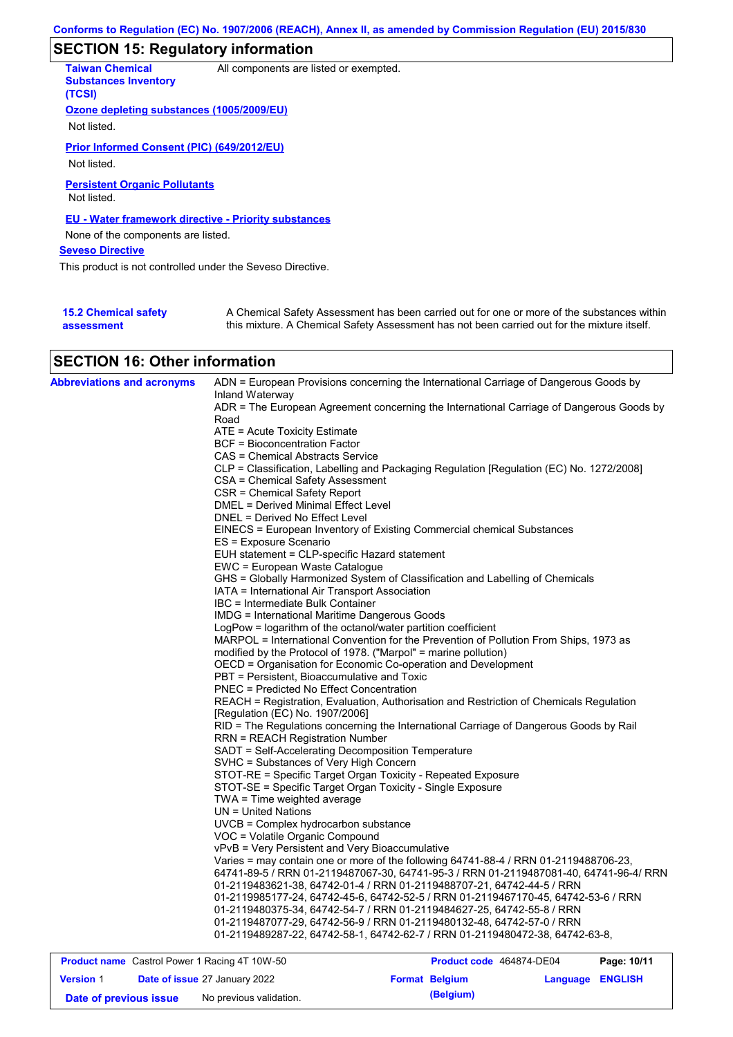# **SECTION 15: Regulatory information**

| <b>Taiwan Chemical</b><br><b>Substances Inventory</b><br>(TCSI) | All components are listed or exempted.                                                                                                                                                    |
|-----------------------------------------------------------------|-------------------------------------------------------------------------------------------------------------------------------------------------------------------------------------------|
| Ozone depleting substances (1005/2009/EU)                       |                                                                                                                                                                                           |
| Not listed.                                                     |                                                                                                                                                                                           |
| Prior Informed Consent (PIC) (649/2012/EU)                      |                                                                                                                                                                                           |
| Not listed.                                                     |                                                                                                                                                                                           |
| <b>Persistent Organic Pollutants</b><br>Not listed.             |                                                                                                                                                                                           |
| <b>EU - Water framework directive - Priority substances</b>     |                                                                                                                                                                                           |
| None of the components are listed.                              |                                                                                                                                                                                           |
| <b>Seveso Directive</b>                                         |                                                                                                                                                                                           |
| This product is not controlled under the Seveso Directive.      |                                                                                                                                                                                           |
|                                                                 |                                                                                                                                                                                           |
| <b>15.2 Chemical safety</b><br>assessment                       | A Chemical Safety Assessment has been carried out for one or more of the substances within<br>this mixture. A Chemical Safety Assessment has not been carried out for the mixture itself. |

# **SECTION 16: Other information**

| <b>Abbreviations and acronyms</b> | ADN = European Provisions concerning the International Carriage of Dangerous Goods by<br>Inland Waterway              |
|-----------------------------------|-----------------------------------------------------------------------------------------------------------------------|
|                                   | ADR = The European Agreement concerning the International Carriage of Dangerous Goods by                              |
|                                   | Road                                                                                                                  |
|                                   | ATE = Acute Toxicity Estimate                                                                                         |
|                                   | BCF = Bioconcentration Factor                                                                                         |
|                                   | CAS = Chemical Abstracts Service                                                                                      |
|                                   | CLP = Classification, Labelling and Packaging Regulation [Regulation (EC) No. 1272/2008]                              |
|                                   | CSA = Chemical Safety Assessment                                                                                      |
|                                   | CSR = Chemical Safety Report                                                                                          |
|                                   | <b>DMEL = Derived Minimal Effect Level</b>                                                                            |
|                                   | DNEL = Derived No Effect Level                                                                                        |
|                                   | EINECS = European Inventory of Existing Commercial chemical Substances                                                |
|                                   | ES = Exposure Scenario                                                                                                |
|                                   | EUH statement = CLP-specific Hazard statement                                                                         |
|                                   | EWC = European Waste Catalogue                                                                                        |
|                                   | GHS = Globally Harmonized System of Classification and Labelling of Chemicals                                         |
|                                   | IATA = International Air Transport Association                                                                        |
|                                   | IBC = Intermediate Bulk Container                                                                                     |
|                                   | <b>IMDG</b> = International Maritime Dangerous Goods<br>LogPow = logarithm of the octanol/water partition coefficient |
|                                   | MARPOL = International Convention for the Prevention of Pollution From Ships, 1973 as                                 |
|                                   | modified by the Protocol of 1978. ("Marpol" = marine pollution)                                                       |
|                                   | OECD = Organisation for Economic Co-operation and Development                                                         |
|                                   | PBT = Persistent, Bioaccumulative and Toxic                                                                           |
|                                   | PNEC = Predicted No Effect Concentration                                                                              |
|                                   | REACH = Registration, Evaluation, Authorisation and Restriction of Chemicals Regulation                               |
|                                   | [Regulation (EC) No. 1907/2006]                                                                                       |
|                                   | RID = The Regulations concerning the International Carriage of Dangerous Goods by Rail                                |
|                                   | <b>RRN = REACH Registration Number</b>                                                                                |
|                                   | SADT = Self-Accelerating Decomposition Temperature                                                                    |
|                                   | SVHC = Substances of Very High Concern                                                                                |
|                                   | STOT-RE = Specific Target Organ Toxicity - Repeated Exposure                                                          |
|                                   | STOT-SE = Specific Target Organ Toxicity - Single Exposure                                                            |
|                                   | $TWA = Time$ weighted average                                                                                         |
|                                   | $UN = United Nations$                                                                                                 |
|                                   | $UVCB = Complex\;hydrocarbon\; substance$                                                                             |
|                                   | VOC = Volatile Organic Compound                                                                                       |
|                                   | vPvB = Very Persistent and Very Bioaccumulative                                                                       |
|                                   | Varies = may contain one or more of the following 64741-88-4 / RRN 01-2119488706-23,                                  |
|                                   | 64741-89-5 / RRN 01-2119487067-30, 64741-95-3 / RRN 01-2119487081-40, 64741-96-4/ RRN                                 |
|                                   | 01-2119483621-38.                            64742-01-4 / RRN 01-2119488707-21.                     64742-44-5        |
|                                   | 01-2119985177-24, 64742-45-6, 64742-52-5 / RRN 01-2119467170-45, 64742-53-6 / RRN                                     |
|                                   | 01-2119480375-34, 64742-54-7 / RRN 01-2119484627-25, 64742-55-8 / RRN                                                 |
|                                   | 01-2119487077-29, 64742-56-9 / RRN 01-2119480132-48, 64742-57-0 / RRN                                                 |
|                                   | 01-2119489287-22, 64742-58-1, 64742-62-7 / RRN 01-2119480472-38, 64742-63-8,                                          |
|                                   |                                                                                                                       |

| <b>Product name</b> Castrol Power 1 Racing 4T 10W-50 |  |                                      | Product code 464874-DE04 |                       | Page: 10/11             |  |
|------------------------------------------------------|--|--------------------------------------|--------------------------|-----------------------|-------------------------|--|
| <b>Version 1</b>                                     |  | <b>Date of issue 27 January 2022</b> |                          | <b>Format Belgium</b> | <b>Language ENGLISH</b> |  |
| Date of previous issue                               |  | No previous validation.              |                          | (Belgium)             |                         |  |